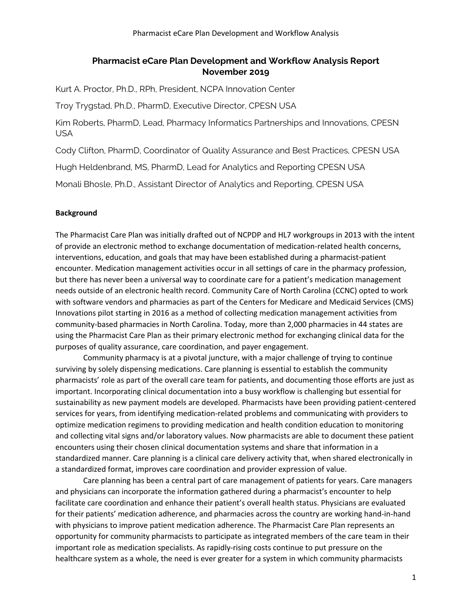## **Pharmacist eCare Plan Development and Workflow Analysis Report November 2019**

Kurt A. Proctor, Ph.D., RPh, President, NCPA Innovation Center

Troy Trygstad, Ph.D., PharmD, Executive Director, CPESN USA

Kim Roberts, PharmD, Lead, Pharmacy Informatics Partnerships and Innovations, CPESN USA

Cody Clifton, PharmD, Coordinator of Quality Assurance and Best Practices, CPESN USA

Hugh Heldenbrand, MS, PharmD, Lead for Analytics and Reporting CPESN USA

Monali Bhosle, Ph.D., Assistant Director of Analytics and Reporting, CPESN USA

## **Background**

The Pharmacist Care Plan was initially drafted out of NCPDP and HL7 workgroups in 2013 with the intent of provide an electronic method to exchange documentation of medication-related health concerns, interventions, education, and goals that may have been established during a pharmacist-patient encounter. Medication management activities occur in all settings of care in the pharmacy profession, but there has never been a universal way to coordinate care for a patient's medication management needs outside of an electronic health record. Community Care of North Carolina (CCNC) opted to work with software vendors and pharmacies as part of the Centers for Medicare and Medicaid Services (CMS) Innovations pilot starting in 2016 as a method of collecting medication management activities from community-based pharmacies in North Carolina. Today, more than 2,000 pharmacies in 44 states are using the Pharmacist Care Plan as their primary electronic method for exchanging clinical data for the purposes of quality assurance, care coordination, and payer engagement.

Community pharmacy is at a pivotal juncture, with a major challenge of trying to continue surviving by solely dispensing medications. Care planning is essential to establish the community pharmacists' role as part of the overall care team for patients, and documenting those efforts are just as important. Incorporating clinical documentation into a busy workflow is challenging but essential for sustainability as new payment models are developed. Pharmacists have been providing patient-centered services for years, from identifying medication-related problems and communicating with providers to optimize medication regimens to providing medication and health condition education to monitoring and collecting vital signs and/or laboratory values. Now pharmacists are able to document these patient encounters using their chosen clinical documentation systems and share that information in a standardized manner. Care planning is a clinical care delivery activity that, when shared electronically in a standardized format, improves care coordination and provider expression of value.

Care planning has been a central part of care management of patients for years. Care managers and physicians can incorporate the information gathered during a pharmacist's encounter to help facilitate care coordination and enhance their patient's overall health status. Physicians are evaluated for their patients' medication adherence, and pharmacies across the country are working hand-in-hand with physicians to improve patient medication adherence. The Pharmacist Care Plan represents an opportunity for community pharmacists to participate as integrated members of the care team in their important role as medication specialists. As rapidly-rising costs continue to put pressure on the healthcare system as a whole, the need is ever greater for a system in which community pharmacists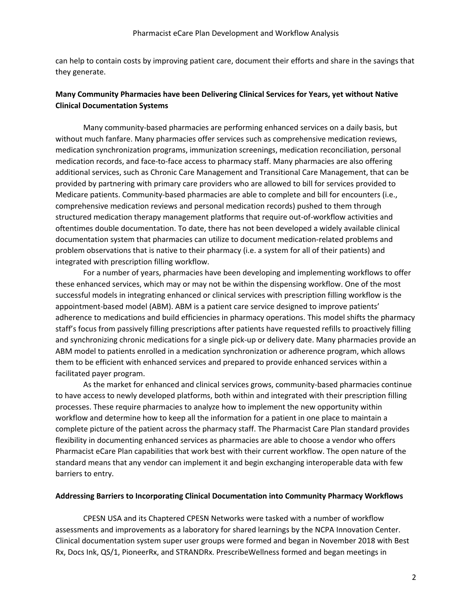can help to contain costs by improving patient care, document their efforts and share in the savings that they generate.

## **Many Community Pharmacies have been Delivering Clinical Services for Years, yet without Native Clinical Documentation Systems**

Many community-based pharmacies are performing enhanced services on a daily basis, but without much fanfare. Many pharmacies offer services such as comprehensive medication reviews, medication synchronization programs, immunization screenings, medication reconciliation, personal medication records, and face-to-face access to pharmacy staff. Many pharmacies are also offering additional services, such as Chronic Care Management and Transitional Care Management, that can be provided by partnering with primary care providers who are allowed to bill for services provided to Medicare patients. Community-based pharmacies are able to complete and bill for encounters (i.e., comprehensive medication reviews and personal medication records) pushed to them through structured medication therapy management platforms that require out-of-workflow activities and oftentimes double documentation. To date, there has not been developed a widely available clinical documentation system that pharmacies can utilize to document medication-related problems and problem observations that is native to their pharmacy (i.e. a system for all of their patients) and integrated with prescription filling workflow.

For a number of years, pharmacies have been developing and implementing workflows to offer these enhanced services, which may or may not be within the dispensing workflow. One of the most successful models in integrating enhanced or clinical services with prescription filling workflow is the appointment-based model (ABM). ABM is a patient care service designed to improve patients' adherence to medications and build efficiencies in pharmacy operations. This model shifts the pharmacy staff's focus from passively filling prescriptions after patients have requested refills to proactively filling and synchronizing chronic medications for a single pick-up or delivery date. Many pharmacies provide an ABM model to patients enrolled in a medication synchronization or adherence program, which allows them to be efficient with enhanced services and prepared to provide enhanced services within a facilitated payer program.

As the market for enhanced and clinical services grows, community-based pharmacies continue to have access to newly developed platforms, both within and integrated with their prescription filling processes. These require pharmacies to analyze how to implement the new opportunity within workflow and determine how to keep all the information for a patient in one place to maintain a complete picture of the patient across the pharmacy staff. The Pharmacist Care Plan standard provides flexibility in documenting enhanced services as pharmacies are able to choose a vendor who offers Pharmacist eCare Plan capabilities that work best with their current workflow. The open nature of the standard means that any vendor can implement it and begin exchanging interoperable data with few barriers to entry.

#### **Addressing Barriers to Incorporating Clinical Documentation into Community Pharmacy Workflows**

CPESN USA and its Chaptered CPESN Networks were tasked with a number of workflow assessments and improvements as a laboratory for shared learnings by the NCPA Innovation Center. Clinical documentation system super user groups were formed and began in November 2018 with Best Rx, Docs Ink, QS/1, PioneerRx, and STRANDRx. PrescribeWellness formed and began meetings in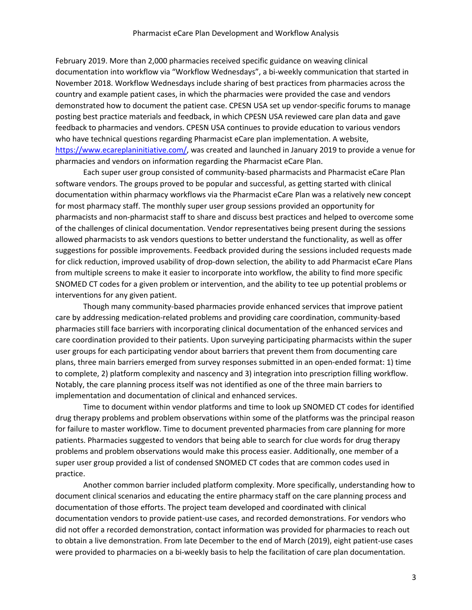February 2019. More than 2,000 pharmacies received specific guidance on weaving clinical documentation into workflow via "Workflow Wednesdays", a bi-weekly communication that started in November 2018. Workflow Wednesdays include sharing of best practices from pharmacies across the country and example patient cases, in which the pharmacies were provided the case and vendors demonstrated how to document the patient case. CPESN USA set up vendor-specific forums to manage posting best practice materials and feedback, in which CPESN USA reviewed care plan data and gave feedback to pharmacies and vendors. CPESN USA continues to provide education to various vendors who have technical questions regarding Pharmacist eCare plan implementation. A website, https://www.ecareplaninitiative.com/, was created and launched in January 2019 to provide a venue for pharmacies and vendors on information regarding the Pharmacist eCare Plan.

Each super user group consisted of community-based pharmacists and Pharmacist eCare Plan software vendors. The groups proved to be popular and successful, as getting started with clinical documentation within pharmacy workflows via the Pharmacist eCare Plan was a relatively new concept for most pharmacy staff. The monthly super user group sessions provided an opportunity for pharmacists and non-pharmacist staff to share and discuss best practices and helped to overcome some of the challenges of clinical documentation. Vendor representatives being present during the sessions allowed pharmacists to ask vendors questions to better understand the functionality, as well as offer suggestions for possible improvements. Feedback provided during the sessions included requests made for click reduction, improved usability of drop-down selection, the ability to add Pharmacist eCare Plans from multiple screens to make it easier to incorporate into workflow, the ability to find more specific SNOMED CT codes for a given problem or intervention, and the ability to tee up potential problems or interventions for any given patient.

Though many community-based pharmacies provide enhanced services that improve patient care by addressing medication-related problems and providing care coordination, community-based pharmacies still face barriers with incorporating clinical documentation of the enhanced services and care coordination provided to their patients. Upon surveying participating pharmacists within the super user groups for each participating vendor about barriers that prevent them from documenting care plans, three main barriers emerged from survey responses submitted in an open-ended format: 1) time to complete, 2) platform complexity and nascency and 3) integration into prescription filling workflow. Notably, the care planning process itself was not identified as one of the three main barriers to implementation and documentation of clinical and enhanced services.

Time to document within vendor platforms and time to look up SNOMED CT codes for identified drug therapy problems and problem observations within some of the platforms was the principal reason for failure to master workflow. Time to document prevented pharmacies from care planning for more patients. Pharmacies suggested to vendors that being able to search for clue words for drug therapy problems and problem observations would make this process easier. Additionally, one member of a super user group provided a list of condensed SNOMED CT codes that are common codes used in practice.

Another common barrier included platform complexity. More specifically, understanding how to document clinical scenarios and educating the entire pharmacy staff on the care planning process and documentation of those efforts. The project team developed and coordinated with clinical documentation vendors to provide patient-use cases, and recorded demonstrations. For vendors who did not offer a recorded demonstration, contact information was provided for pharmacies to reach out to obtain a live demonstration. From late December to the end of March (2019), eight patient-use cases were provided to pharmacies on a bi-weekly basis to help the facilitation of care plan documentation.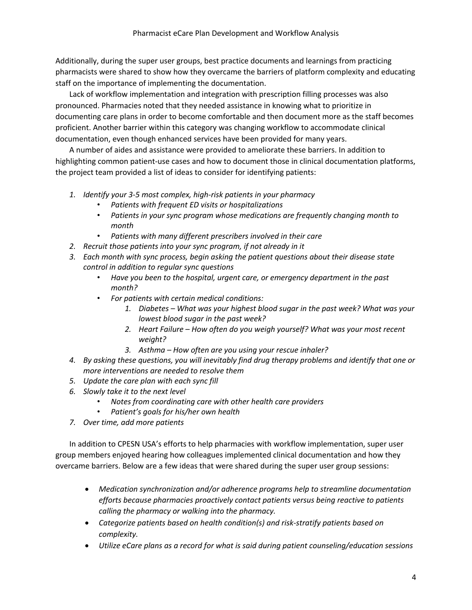Additionally, during the super user groups, best practice documents and learnings from practicing pharmacists were shared to show how they overcame the barriers of platform complexity and educating staff on the importance of implementing the documentation.

Lack of workflow implementation and integration with prescription filling processes was also pronounced. Pharmacies noted that they needed assistance in knowing what to prioritize in documenting care plans in order to become comfortable and then document more as the staff becomes proficient. Another barrier within this category was changing workflow to accommodate clinical documentation, even though enhanced services have been provided for many years.

A number of aides and assistance were provided to ameliorate these barriers. In addition to highlighting common patient-use cases and how to document those in clinical documentation platforms, the project team provided a list of ideas to consider for identifying patients:

- *1. Identify your 3-5 most complex, high-risk patients in your pharmacy*
	- *Patients with frequent ED visits or hospitalizations*
	- *Patients in your sync program whose medications are frequently changing month to month*
	- *Patients with many different prescribers involved in their care*
- *2. Recruit those patients into your sync program, if not already in it*
- *3. Each month with sync process, begin asking the patient questions about their disease state control in addition to regular sync questions*
	- *Have you been to the hospital, urgent care, or emergency department in the past month?*
	- *For patients with certain medical conditions:*
		- *1. Diabetes – What was your highest blood sugar in the past week? What was your lowest blood sugar in the past week?*
		- *2. Heart Failure – How often do you weigh yourself? What was your most recent weight?*
		- *3. Asthma – How often are you using your rescue inhaler?*
- *4. By asking these questions, you will inevitably find drug therapy problems and identify that one or more interventions are needed to resolve them*
- *5. Update the care plan with each sync fill*
- *6. Slowly take it to the next level*
	- *Notes from coordinating care with other health care providers*
	- *Patient's goals for his/her own health*
- *7. Over time, add more patients*

In addition to CPESN USA's efforts to help pharmacies with workflow implementation, super user group members enjoyed hearing how colleagues implemented clinical documentation and how they overcame barriers. Below are a few ideas that were shared during the super user group sessions:

- *Medication synchronization and/or adherence programs help to streamline documentation efforts because pharmacies proactively contact patients versus being reactive to patients calling the pharmacy or walking into the pharmacy.*
- *Categorize patients based on health condition(s) and risk-stratify patients based on complexity.*
- *Utilize eCare plans as a record for what is said during patient counseling/education sessions*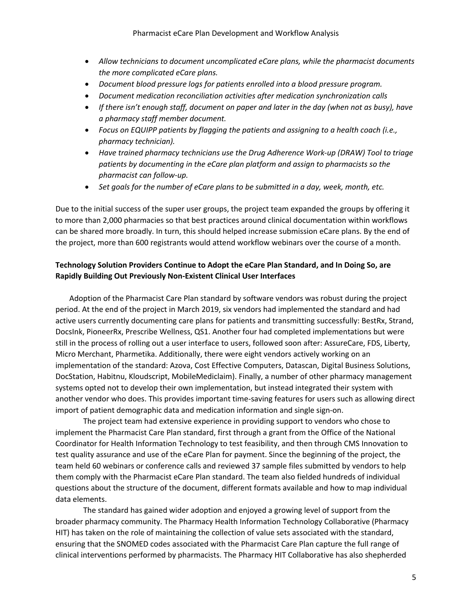- *Allow technicians to document uncomplicated eCare plans, while the pharmacist documents the more complicated eCare plans.*
- *Document blood pressure logs for patients enrolled into a blood pressure program.*
- *Document medication reconciliation activities after medication synchronization calls*
- *If there isn't enough staff, document on paper and later in the day (when not as busy), have a pharmacy staff member document.*
- *Focus on EQUIPP patients by flagging the patients and assigning to a health coach (i.e., pharmacy technician).*
- *Have trained pharmacy technicians use the Drug Adherence Work-up (DRAW) Tool to triage patients by documenting in the eCare plan platform and assign to pharmacists so the pharmacist can follow-up.*
- *Set goals for the number of eCare plans to be submitted in a day, week, month, etc.*

Due to the initial success of the super user groups, the project team expanded the groups by offering it to more than 2,000 pharmacies so that best practices around clinical documentation within workflows can be shared more broadly. In turn, this should helped increase submission eCare plans. By the end of the project, more than 600 registrants would attend workflow webinars over the course of a month.

# **Technology Solution Providers Continue to Adopt the eCare Plan Standard, and In Doing So, are Rapidly Building Out Previously Non-Existent Clinical User Interfaces**

Adoption of the Pharmacist Care Plan standard by software vendors was robust during the project period. At the end of the project in March 2019, six vendors had implemented the standard and had active users currently documenting care plans for patients and transmitting successfully: BestRx, Strand, DocsInk, PioneerRx, Prescribe Wellness, QS1. Another four had completed implementations but were still in the process of rolling out a user interface to users, followed soon after: AssureCare, FDS, Liberty, Micro Merchant, Pharmetika. Additionally, there were eight vendors actively working on an implementation of the standard: Azova, Cost Effective Computers, Datascan, Digital Business Solutions, DocStation, Habitnu, Kloudscript, MobileMediclaim). Finally, a number of other pharmacy management systems opted not to develop their own implementation, but instead integrated their system with another vendor who does. This provides important time-saving features for users such as allowing direct import of patient demographic data and medication information and single sign-on.

The project team had extensive experience in providing support to vendors who chose to implement the Pharmacist Care Plan standard, first through a grant from the Office of the National Coordinator for Health Information Technology to test feasibility, and then through CMS Innovation to test quality assurance and use of the eCare Plan for payment. Since the beginning of the project, the team held 60 webinars or conference calls and reviewed 37 sample files submitted by vendors to help them comply with the Pharmacist eCare Plan standard. The team also fielded hundreds of individual questions about the structure of the document, different formats available and how to map individual data elements.

The standard has gained wider adoption and enjoyed a growing level of support from the broader pharmacy community. The Pharmacy Health Information Technology Collaborative (Pharmacy HIT) has taken on the role of maintaining the collection of value sets associated with the standard, ensuring that the SNOMED codes associated with the Pharmacist Care Plan capture the full range of clinical interventions performed by pharmacists. The Pharmacy HIT Collaborative has also shepherded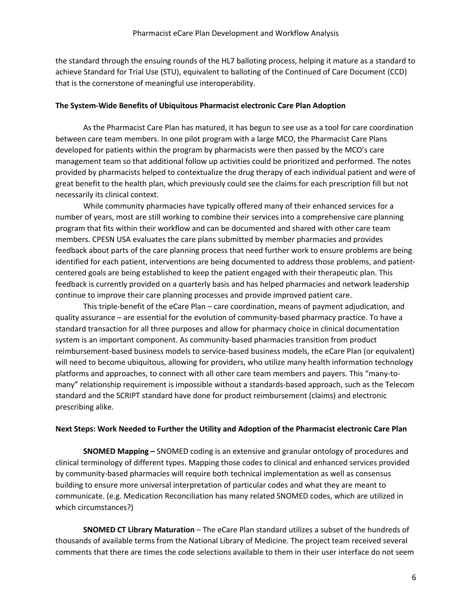the standard through the ensuing rounds of the HL7 balloting process, helping it mature as a standard to achieve Standard for Trial Use (STU), equivalent to balloting of the Continued of Care Document (CCD) that is the cornerstone of meaningful use interoperability.

### **The System-Wide Benefits of Ubiquitous Pharmacist electronic Care Plan Adoption**

As the Pharmacist Care Plan has matured, it has begun to see use as a tool for care coordination between care team members. In one pilot program with a large MCO, the Pharmacist Care Plans developed for patients within the program by pharmacists were then passed by the MCO's care management team so that additional follow up activities could be prioritized and performed. The notes provided by pharmacists helped to contextualize the drug therapy of each individual patient and were of great benefit to the health plan, which previously could see the claims for each prescription fill but not necessarily its clinical context.

While community pharmacies have typically offered many of their enhanced services for a number of years, most are still working to combine their services into a comprehensive care planning program that fits within their workflow and can be documented and shared with other care team members. CPESN USA evaluates the care plans submitted by member pharmacies and provides feedback about parts of the care planning process that need further work to ensure problems are being identified for each patient, interventions are being documented to address those problems, and patientcentered goals are being established to keep the patient engaged with their therapeutic plan. This feedback is currently provided on a quarterly basis and has helped pharmacies and network leadership continue to improve their care planning processes and provide improved patient care.

This triple-benefit of the eCare Plan – care coordination, means of payment adjudication, and quality assurance – are essential for the evolution of community-based pharmacy practice. To have a standard transaction for all three purposes and allow for pharmacy choice in clinical documentation system is an important component. As community-based pharmacies transition from product reimbursement-based business models to service-based business models, the eCare Plan (or equivalent) will need to become ubiquitous, allowing for providers, who utilize many health information technology platforms and approaches, to connect with all other care team members and payers. This "many-tomany" relationship requirement is impossible without a standards-based approach, such as the Telecom standard and the SCRIPT standard have done for product reimbursement (claims) and electronic prescribing alike.

### **Next Steps: Work Needed to Further the Utility and Adoption of the Pharmacist electronic Care Plan**

**SNOMED Mapping –** SNOMED coding is an extensive and granular ontology of procedures and clinical terminology of different types. Mapping those codes to clinical and enhanced services provided by community-based pharmacies will require both technical implementation as well as consensus building to ensure more universal interpretation of particular codes and what they are meant to communicate. (e.g. Medication Reconciliation has many related SNOMED codes, which are utilized in which circumstances?)

**SNOMED CT Library Maturation** – The eCare Plan standard utilizes a subset of the hundreds of thousands of available terms from the National Library of Medicine. The project team received several comments that there are times the code selections available to them in their user interface do not seem